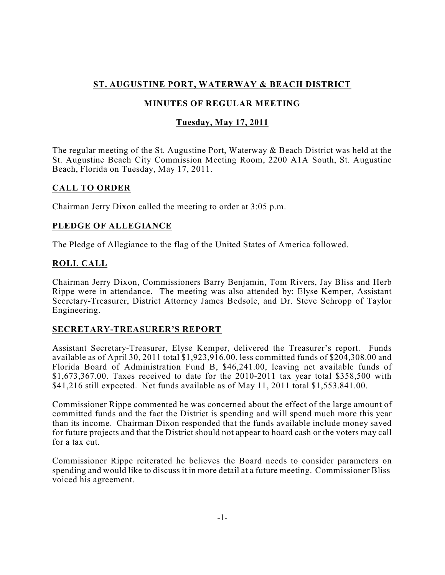# **ST. AUGUSTINE PORT, WATERWAY & BEACH DISTRICT**

# **MINUTES OF REGULAR MEETING**

## **Tuesday, May 17, 2011**

The regular meeting of the St. Augustine Port, Waterway & Beach District was held at the St. Augustine Beach City Commission Meeting Room, 2200 A1A South, St. Augustine Beach, Florida on Tuesday, May 17, 2011.

## **CALL TO ORDER**

Chairman Jerry Dixon called the meeting to order at 3:05 p.m.

## **PLEDGE OF ALLEGIANCE**

The Pledge of Allegiance to the flag of the United States of America followed.

## **ROLL CALL**

Chairman Jerry Dixon, Commissioners Barry Benjamin, Tom Rivers, Jay Bliss and Herb Rippe were in attendance. The meeting was also attended by: Elyse Kemper, Assistant Secretary-Treasurer, District Attorney James Bedsole, and Dr. Steve Schropp of Taylor Engineering.

## **SECRETARY-TREASURER'S REPORT**

Assistant Secretary-Treasurer, Elyse Kemper, delivered the Treasurer's report. Funds available as of April 30, 2011 total \$1,923,916.00, less committed funds of \$204,308.00 and Florida Board of Administration Fund B, \$46,241.00, leaving net available funds of \$1,673,367.00. Taxes received to date for the 2010-2011 tax year total \$358,500 with \$41,216 still expected. Net funds available as of May 11, 2011 total \$1,553.841.00.

Commissioner Rippe commented he was concerned about the effect of the large amount of committed funds and the fact the District is spending and will spend much more this year than its income. Chairman Dixon responded that the funds available include money saved for future projects and that the District should not appear to hoard cash or the voters may call for a tax cut.

Commissioner Rippe reiterated he believes the Board needs to consider parameters on spending and would like to discuss it in more detail at a future meeting. Commissioner Bliss voiced his agreement.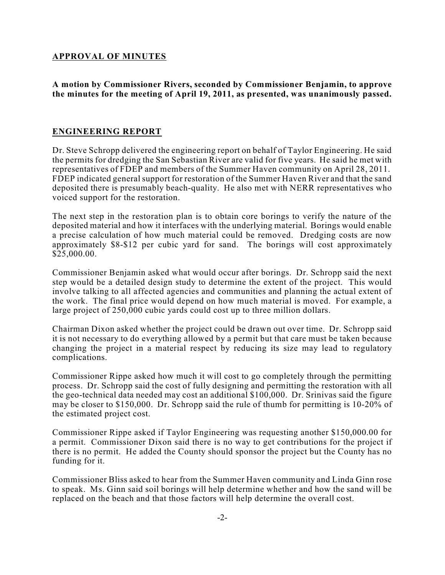#### **APPROVAL OF MINUTES**

**A motion by Commissioner Rivers, seconded by Commissioner Benjamin, to approve the minutes for the meeting of April 19, 2011, as presented, was unanimously passed.**

### **ENGINEERING REPORT**

Dr. Steve Schropp delivered the engineering report on behalf of Taylor Engineering. He said the permits for dredging the San Sebastian River are valid for five years. He said he met with representatives of FDEP and members of the Summer Haven community on April 28, 2011. FDEP indicated general support for restoration of the Summer Haven River and that the sand deposited there is presumably beach-quality. He also met with NERR representatives who voiced support for the restoration.

The next step in the restoration plan is to obtain core borings to verify the nature of the deposited material and how it interfaces with the underlying material. Borings would enable a precise calculation of how much material could be removed. Dredging costs are now approximately \$8-\$12 per cubic yard for sand. The borings will cost approximately \$25,000.00.

Commissioner Benjamin asked what would occur after borings. Dr. Schropp said the next step would be a detailed design study to determine the extent of the project. This would involve talking to all affected agencies and communities and planning the actual extent of the work. The final price would depend on how much material is moved. For example, a large project of 250,000 cubic yards could cost up to three million dollars.

Chairman Dixon asked whether the project could be drawn out over time. Dr. Schropp said it is not necessary to do everything allowed by a permit but that care must be taken because changing the project in a material respect by reducing its size may lead to regulatory complications.

Commissioner Rippe asked how much it will cost to go completely through the permitting process. Dr. Schropp said the cost of fully designing and permitting the restoration with all the geo-technical data needed may cost an additional \$100,000. Dr. Srinivas said the figure may be closer to \$150,000. Dr. Schropp said the rule of thumb for permitting is 10-20% of the estimated project cost.

Commissioner Rippe asked if Taylor Engineering was requesting another \$150,000.00 for a permit. Commissioner Dixon said there is no way to get contributions for the project if there is no permit. He added the County should sponsor the project but the County has no funding for it.

Commissioner Bliss asked to hear from the Summer Haven community and Linda Ginn rose to speak. Ms. Ginn said soil borings will help determine whether and how the sand will be replaced on the beach and that those factors will help determine the overall cost.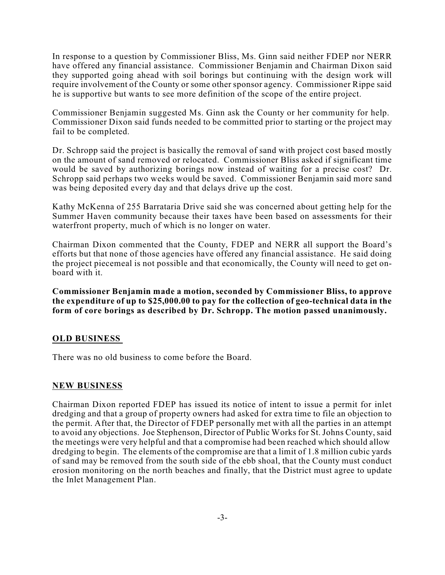In response to a question by Commissioner Bliss, Ms. Ginn said neither FDEP nor NERR have offered any financial assistance. Commissioner Benjamin and Chairman Dixon said they supported going ahead with soil borings but continuing with the design work will require involvement of the County or some other sponsor agency. Commissioner Rippe said he is supportive but wants to see more definition of the scope of the entire project.

Commissioner Benjamin suggested Ms. Ginn ask the County or her community for help. Commissioner Dixon said funds needed to be committed prior to starting or the project may fail to be completed.

Dr. Schropp said the project is basically the removal of sand with project cost based mostly on the amount of sand removed or relocated. Commissioner Bliss asked if significant time would be saved by authorizing borings now instead of waiting for a precise cost? Dr. Schropp said perhaps two weeks would be saved. Commissioner Benjamin said more sand was being deposited every day and that delays drive up the cost.

Kathy McKenna of 255 Barrataria Drive said she was concerned about getting help for the Summer Haven community because their taxes have been based on assessments for their waterfront property, much of which is no longer on water.

Chairman Dixon commented that the County, FDEP and NERR all support the Board's efforts but that none of those agencies have offered any financial assistance. He said doing the project piecemeal is not possible and that economically, the County will need to get onboard with it.

**Commissioner Benjamin made a motion, seconded by Commissioner Bliss, to approve the expenditure of up to \$25,000.00 to pay for the collection of geo-technical data in the form of core borings as described by Dr. Schropp. The motion passed unanimously.**

## **OLD BUSINESS**

There was no old business to come before the Board.

## **NEW BUSINESS**

Chairman Dixon reported FDEP has issued its notice of intent to issue a permit for inlet dredging and that a group of property owners had asked for extra time to file an objection to the permit. After that, the Director of FDEP personally met with all the parties in an attempt to avoid any objections. Joe Stephenson, Director of Public Works for St. Johns County, said the meetings were very helpful and that a compromise had been reached which should allow dredging to begin. The elements of the compromise are that a limit of 1.8 million cubic yards of sand may be removed from the south side of the ebb shoal, that the County must conduct erosion monitoring on the north beaches and finally, that the District must agree to update the Inlet Management Plan.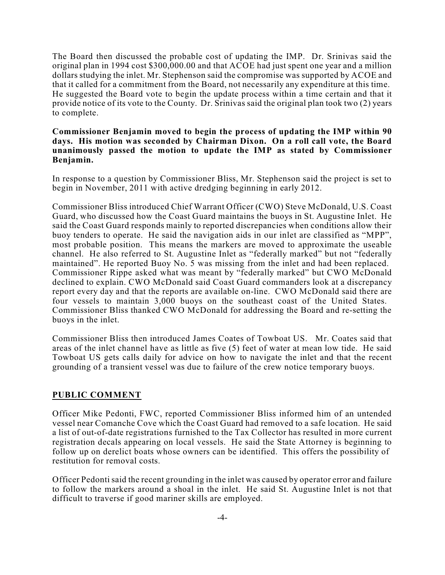The Board then discussed the probable cost of updating the IMP. Dr. Srinivas said the original plan in 1994 cost \$300,000.00 and that ACOE had just spent one year and a million dollars studying the inlet. Mr. Stephenson said the compromise was supported by ACOE and that it called for a commitment from the Board, not necessarily any expenditure at this time. He suggested the Board vote to begin the update process within a time certain and that it provide notice of its vote to the County. Dr. Srinivas said the original plan took two (2) years to complete.

#### **Commissioner Benjamin moved to begin the process of updating the IMP within 90 days. His motion was seconded by Chairman Dixon. On a roll call vote, the Board unanimously passed the motion to update the IMP as stated by Commissioner Benjamin.**

In response to a question by Commissioner Bliss, Mr. Stephenson said the project is set to begin in November, 2011 with active dredging beginning in early 2012.

Commissioner Bliss introduced Chief Warrant Officer (CWO) Steve McDonald, U.S. Coast Guard, who discussed how the Coast Guard maintains the buoys in St. Augustine Inlet. He said the Coast Guard responds mainly to reported discrepancies when conditions allow their buoy tenders to operate. He said the navigation aids in our inlet are classified as "MPP", most probable position. This means the markers are moved to approximate the useable channel. He also referred to St. Augustine Inlet as "federally marked" but not "federally maintained". He reported Buoy No. 5 was missing from the inlet and had been replaced. Commissioner Rippe asked what was meant by "federally marked" but CWO McDonald declined to explain. CWO McDonald said Coast Guard commanders look at a discrepancy report every day and that the reports are available on-line. CWO McDonald said there are four vessels to maintain 3,000 buoys on the southeast coast of the United States. Commissioner Bliss thanked CWO McDonald for addressing the Board and re-setting the buoys in the inlet.

Commissioner Bliss then introduced James Coates of Towboat US. Mr. Coates said that areas of the inlet channel have as little as five (5) feet of water at mean low tide. He said Towboat US gets calls daily for advice on how to navigate the inlet and that the recent grounding of a transient vessel was due to failure of the crew notice temporary buoys.

## **PUBLIC COMMENT**

Officer Mike Pedonti, FWC, reported Commissioner Bliss informed him of an untended vessel near Comanche Cove which the Coast Guard had removed to a safe location. He said a list of out-of-date registrations furnished to the Tax Collector has resulted in more current registration decals appearing on local vessels. He said the State Attorney is beginning to follow up on derelict boats whose owners can be identified. This offers the possibility of restitution for removal costs.

Officer Pedonti said the recent grounding in the inlet was caused by operator error and failure to follow the markers around a shoal in the inlet. He said St. Augustine Inlet is not that difficult to traverse if good mariner skills are employed.